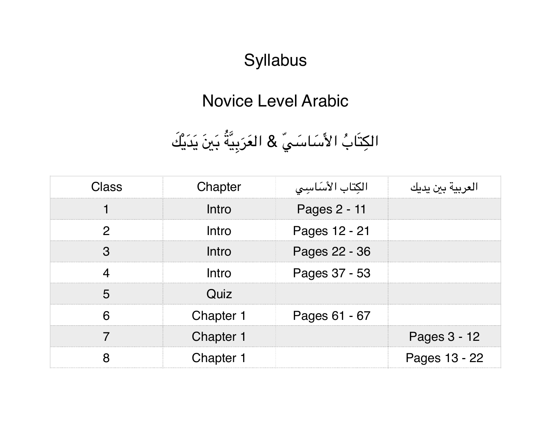## **Syllabus**

## Novice Level Arabic

## الكِتَابُ الأَسَاسَيِّ & العَرَبِيَّةُ بَينَ يَدَيْكَ َ

| Class | Chapter          | الكتاب الأساسيي | العربية بين يديك |
|-------|------------------|-----------------|------------------|
|       | Intro            | Pages 2 - 11    |                  |
| ŋ     | Intro            | Pages 12 - 21   |                  |
| റ     | Intro            | Pages 22 - 36   |                  |
|       | Intro            | Pages 37 - 53   |                  |
|       | Quiz             |                 |                  |
|       | Chapter 1        | Pages 61 - 67   |                  |
|       | Chapter 1        |                 | Pages 3 - 12     |
|       | <b>Chapter 1</b> |                 | Pages 13 - 22    |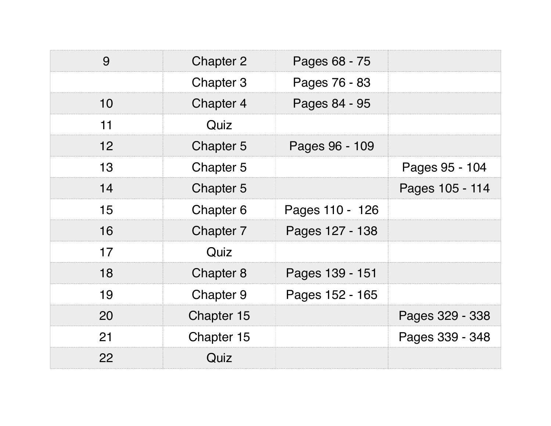| 9                 | <b>Chapter 2</b> | Pages 68 - 75   |                 |
|-------------------|------------------|-----------------|-----------------|
|                   | Chapter 3        | Pages 76 - 83   |                 |
| 10                | Chapter 4        | Pages 84 - 95   |                 |
| 11                | Quiz             |                 |                 |
| $12 \overline{ }$ | Chapter 5        | Pages 96 - 109  |                 |
| 13                | Chapter 5        |                 | Pages 95 - 104  |
| 14                | Chapter 5        |                 | Pages 105 - 114 |
| 15                | Chapter 6        | Pages 110 - 126 |                 |
| 16                | Chapter 7        | Pages 127 - 138 |                 |
| 17                | Quiz             |                 |                 |
| 18                | Chapter 8        | Pages 139 - 151 |                 |
| 19                | Chapter 9        | Pages 152 - 165 |                 |
| 20                | Chapter 15       |                 | Pages 329 - 338 |
| 21                | Chapter 15       |                 | Pages 339 - 348 |
| 22                | Quiz             |                 |                 |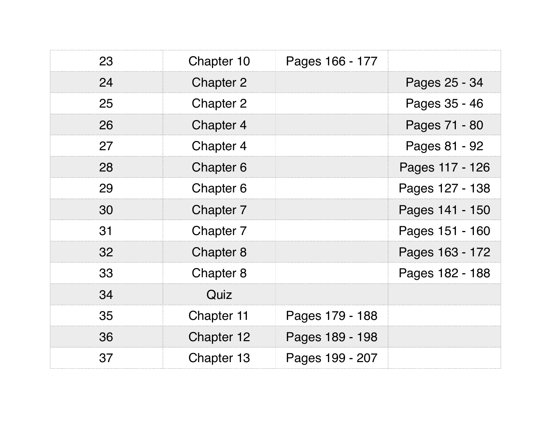| 23 | Chapter 10 | Pages 166 - 177 |                 |
|----|------------|-----------------|-----------------|
| 24 | Chapter 2  |                 | Pages 25 - 34   |
| 25 | Chapter 2  |                 | Pages 35 - 46   |
| 26 | Chapter 4  |                 | Pages 71 - 80   |
| 27 | Chapter 4  |                 | Pages 81 - 92   |
| 28 | Chapter 6  |                 | Pages 117 - 126 |
| 29 | Chapter 6  |                 | Pages 127 - 138 |
| 30 | Chapter 7  |                 | Pages 141 - 150 |
| 31 | Chapter 7  |                 | Pages 151 - 160 |
| 32 | Chapter 8  |                 | Pages 163 - 172 |
| 33 | Chapter 8  |                 | Pages 182 - 188 |
| 34 | Quiz       |                 |                 |
| 35 | Chapter 11 | Pages 179 - 188 |                 |
| 36 | Chapter 12 | Pages 189 - 198 |                 |
| 37 | Chapter 13 | Pages 199 - 207 |                 |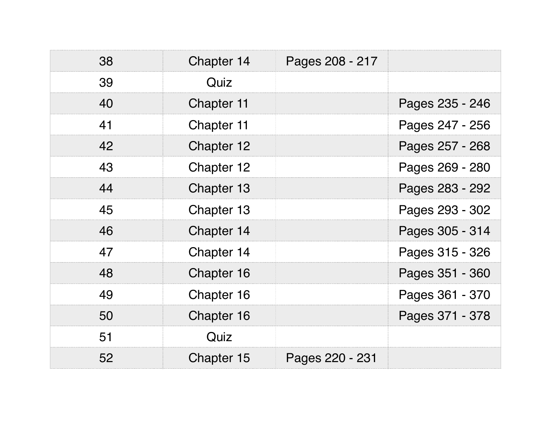| 38 | Chapter 14 | Pages 208 - 217 |                 |
|----|------------|-----------------|-----------------|
| 39 | Quiz       |                 |                 |
| 40 | Chapter 11 |                 | Pages 235 - 246 |
| 41 | Chapter 11 |                 | Pages 247 - 256 |
| 42 | Chapter 12 |                 | Pages 257 - 268 |
| 43 | Chapter 12 |                 | Pages 269 - 280 |
| 44 | Chapter 13 |                 | Pages 283 - 292 |
| 45 | Chapter 13 |                 | Pages 293 - 302 |
| 46 | Chapter 14 |                 | Pages 305 - 314 |
| 47 | Chapter 14 |                 | Pages 315 - 326 |
| 48 | Chapter 16 |                 | Pages 351 - 360 |
| 49 | Chapter 16 |                 | Pages 361 - 370 |
| 50 | Chapter 16 |                 | Pages 371 - 378 |
| 51 | Quiz       |                 |                 |
| 52 | Chapter 15 | Pages 220 - 231 |                 |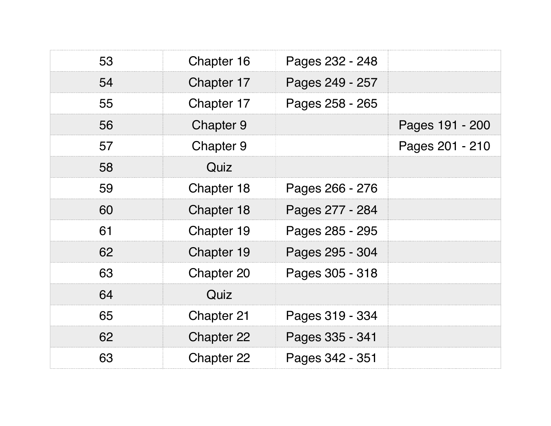| 53 | Chapter 16 | Pages 232 - 248 |                 |
|----|------------|-----------------|-----------------|
| 54 | Chapter 17 | Pages 249 - 257 |                 |
| 55 | Chapter 17 | Pages 258 - 265 |                 |
| 56 | Chapter 9  |                 | Pages 191 - 200 |
| 57 | Chapter 9  |                 | Pages 201 - 210 |
| 58 | Quiz       |                 |                 |
| 59 | Chapter 18 | Pages 266 - 276 |                 |
| 60 | Chapter 18 | Pages 277 - 284 |                 |
| 61 | Chapter 19 | Pages 285 - 295 |                 |
| 62 | Chapter 19 | Pages 295 - 304 |                 |
| 63 | Chapter 20 | Pages 305 - 318 |                 |
| 64 | Quiz       |                 |                 |
| 65 | Chapter 21 | Pages 319 - 334 |                 |
| 62 | Chapter 22 | Pages 335 - 341 |                 |
| 63 | Chapter 22 | Pages 342 - 351 |                 |
|    |            |                 |                 |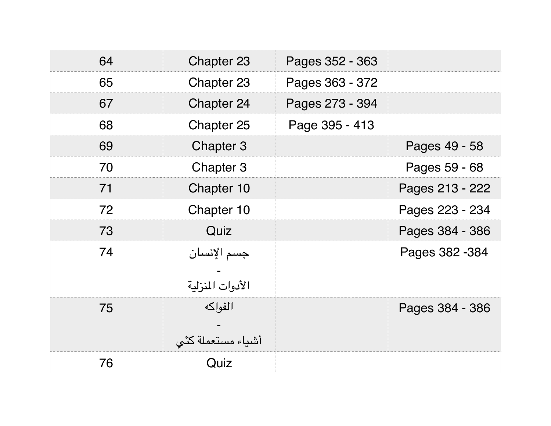| 64 | Chapter 23                      | Pages 352 - 363 |                 |
|----|---------------------------------|-----------------|-----------------|
| 65 | Chapter 23                      | Pages 363 - 372 |                 |
| 67 | Chapter 24                      | Pages 273 - 394 |                 |
| 68 | Chapter 25                      | Page 395 - 413  |                 |
| 69 | Chapter 3                       |                 | Pages 49 - 58   |
| 70 | Chapter 3                       |                 | Pages 59 - 68   |
| 71 | Chapter 10                      |                 | Pages 213 - 222 |
| 72 | Chapter 10                      |                 | Pages 223 - 234 |
| 73 | Quiz                            |                 | Pages 384 - 386 |
| 74 | جسم الإنسان<br>الأدوات المنزلية |                 | Pages 382 - 384 |
| 75 | الفواكه<br>أشياء مستعملة كثي    |                 | Pages 384 - 386 |
| 76 | Quiz                            |                 |                 |